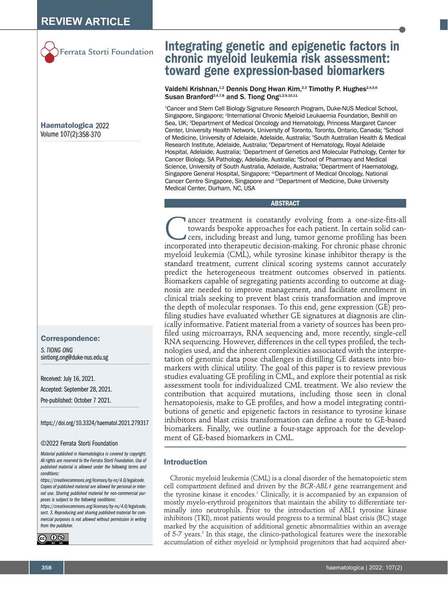

Haematologica 2022 Volume 107(2):358-370

#### Correspondence:

*S. TIONG ONG* sintiong.ong@duke-nus.edu.sg

Received: July 16, 2021. Accepted: September 28, 2021.

Pre-published: October 7 2021.

https://doi.org/10.3324/haematol.2021.279317

#### ©2022 Ferrata Storti Foundation

*Material published in Haematologica is covered by copyright. All rights are reserved to the Ferrata Storti Foundation. Use of published material is allowed under the following terms and conditions:* 

*https://creativecommons.org/licenses/by-nc/4.0/legalcode. Copies of published material are allowed for personal or internal use. Sharing published material for non-commercial purposes is subject to the following conditions:* 

*https://creativecommons.org/licenses/by-nc/4.0/legalcode, sect. 3. Reproducing and sharing published material for commercial purposes is not allowed without permission in writing from the publisher.*



# Integrating genetic and epigenetic factors in chronic myeloid leukemia risk assessment: toward gene expression-based biomarkers

# Vaidehi Krishnan,<sup>1,2</sup> Dennis Dong Hwan Kim,<sup>2,3</sup> Timothy P. Hughes<sup>2,4,5,6</sup> Susan Branford<sup>2,4,7,8</sup> and S. Tiong Ong<sup>1,2,9,10,11</sup>

1 Cancer and Stem Cell Biology Signature Research Program, Duke-NUS Medical School, Singapore, Singapore; <sup>2</sup>International Chronic Myeloid Leukaemia Foundation, Bexhill on Sea, UK; <sup>3</sup>Department of Medical Oncology and Hematology, Princess Margaret Cancer Center, University Health Network, University of Toronto, Toronto, Ontario, Canada; 4 School of Medicine, University of Adelaide, Adelaide, Australia; 5 South Australian Health & Medical Research Institute, Adelaide, Australia; <sup>6</sup>Department of Hematology, Royal Adelaide Hospital, Adelaide, Australia; 7 Department of Genetics and Molecular Pathology, Center for Cancer Biology, SA Pathology, Adelaide, Australia; <sup>8</sup>School of Pharmacy and Medical Science, University of South Australia, Adelaide, Australia; <sup>9</sup>Department of Haematology, Singapore General Hospital, Singapore; <sup>10</sup>Department of Medical Oncology, National Cancer Centre Singapore, Singapore and <sup>11</sup>Department of Medicine, Duke University Medical Center, Durham, NC, USA

#### **ABSTRACT**

Cancer treatment is constantly evolving from a one-size-fits-all<br>towards bespoke approaches for each patient. In certain solid can-<br>cers, including breast and lung, tumor genome profiling has been<br>incorporated into therape towards bespoke approaches for each patient. In certain solid cancers, including breast and lung, tumor genome profiling has been incorporated into therapeutic decision-making. For chronic phase chronic myeloid leukemia (CML), while tyrosine kinase inhibitor therapy is the standard treatment, current clinical scoring systems cannot accurately predict the heterogeneous treatment outcomes observed in patients. Biomarkers capable of segregating patients according to outcome at diagnosis are needed to improve management, and facilitate enrollment in clinical trials seeking to prevent blast crisis transformation and improve the depth of molecular responses. To this end, gene expression (GE) profiling studies have evaluated whether GE signatures at diagnosis are clinically informative. Patient material from a variety of sources has been profiled using microarrays, RNA sequencing and, more recently, single-cell RNA sequencing. However, differences in the cell types profiled, the technologies used, and the inherent complexities associated with the interpretation of genomic data pose challenges in distilling GE datasets into biomarkers with clinical utility. The goal of this paper is to review previous studies evaluating GE profiling in CML, and explore their potential as risk assessment tools for individualized CML treatment. We also review the contribution that acquired mutations, including those seen in clonal hematopoiesis, make to GE profiles, and how a model integrating contributions of genetic and epigenetic factors in resistance to tyrosine kinase inhibitors and blast crisis transformation can define a route to GE-based biomarkers. Finally, we outline a four-stage approach for the development of GE-based biomarkers in CML.

# Introduction

Chronic myeloid leukemia (CML) is a clonal disorder of the hematopoietic stem cell compartment defined and driven by the *BCR-ABL1* gene rearrangement and the tyrosine kinase it encodes.<sup>1</sup> Clinically, it is accompanied by an expansion of mostly myelo-erythroid progenitors that maintain the ability to differentiate terminally into neutrophils. Prior to the introduction of ABL1 tyrosine kinase inhibitors (TKI), most patients would progress to a terminal blast crisis (BC) stage marked by the acquisition of additional genetic abnormalities within an average of 5-7 years.<sup>2</sup> In this stage, the clinico-pathological features were the inexorable accumulation of either myeloid or lymphoid progenitors that had acquired aber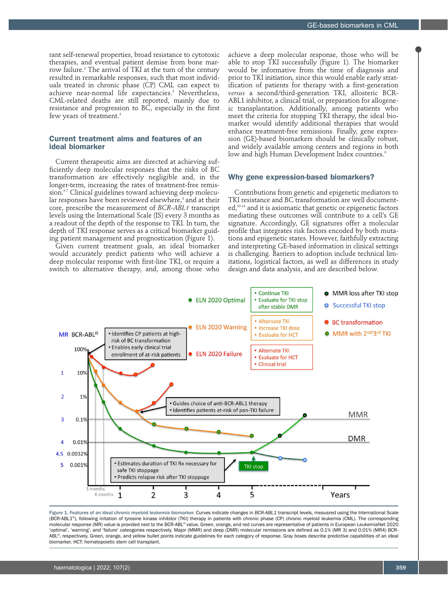rant self-renewal properties, broad resistance to cytotoxic therapies, and eventual patient demise from bone marrow failure.2 The arrival of TKI at the turn of the century resulted in remarkable responses, such that most individuals treated in chronic phase (CP) CML can expect to achieve near-normal life expectancies.3 Nevertheless, CML-related deaths are still reported, mainly due to resistance and progression to BC, especially in the first few years of treatment.<sup>4</sup>

# Current treatment aims and features of an ideal biomarker

Current therapeutic aims are directed at achieving sufficiently deep molecular responses that the risks of BC transformation are effectively negligible and, in the longer-term, increasing the rates of treatment-free remission.<sup>5-7</sup> Clinical guidelines toward achieving deep molecular responses have been reviewed elsewhere, $^{\text{\tiny{8}}}$  and at their core, prescribe the measurement of *BCR-ABL1* transcript levels using the International Scale (IS) every 3 months as a readout of the depth of the response to TKI. In turn, the depth of TKI response serves as a critical biomarker guiding patient management and prognostication (Figure 1).

Given current treatment goals, an ideal biomarker would accurately predict patients who will achieve a deep molecular response with first-line TKI, or require a switch to alternative therapy, and, among those who achieve a deep molecular response, those who will be able to stop TKI successfully (Figure 1). The biomarker would be informative from the time of diagnosis and prior to TKI initiation, since this would enable early stratification of patients for therapy with a first-generation *versus* a second/third-generation TKI, allosteric BCR-ABL1 inhibitor, a clinical trial, or preparation for allogeneic transplantation. Additionally, among patients who meet the criteria for stopping TKI therapy, the ideal biomarker would identify additional therapies that would enhance treatment-free remissions. Finally, gene expression (GE)-based biomarkers should be clinically robust, and widely available among centers and regions in both low and high Human Development Index countries.<sup>9</sup>

#### Why gene expression-based biomarkers?

Contributions from genetic and epigenetic mediators to TKI resistance and BC transformation are well documented,<sup>10-14</sup> and it is axiomatic that genetic or epigenetic factors mediating these outcomes will contribute to a cell's GE signature. Accordingly, GE signatures offer a molecular profile that integrates risk factors encoded by both mutations and epigenetic states. However, faithfully extracting and interpreting GE-based information in clinical settings is challenging. Barriers to adoption include technical limitations, logistical factors, as well as differences in study design and data analysis, and are described below.



Figure 1. Features of an ideal chronic myeloid leukemia biomarker. Curves indicate changes in *BCR-ABL1* transcript levels, meausred using the International Scale (BCR-ABL1<sup>®</sup>), following initation of tyrosine kinase inhibitor (TKI) therapy in patients with chronic phase (CP) chronic myeloid leukemia (CML). The corresponding molecular response (MR) value is provided next to the BCR-ABL<sup>®</sup> value. Green, orange, and red curves are representative of patients in European LeukemiaNet 2020 'optimal', 'warning', and 'failure' cateogories respectively. Major (MMR) and deep (DMR) molecular remissions are defined as 0.1% (MR 3) and 0.01% (MR4) BCR-ABL<sup>®</sup>, respectively. Green, orange, and yellow bullet points indicate guidelines for each category of response. Gray boxes describe predictive capabilities of an ideal biomarker. HCT: hematopoietic stem cell transplant.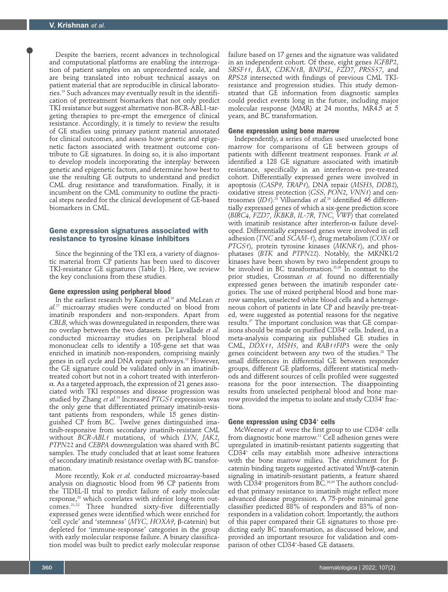Despite the barriers, recent advances in technological and computational platforms are enabling the interrogation of patient samples on an unprecedented scale, and are being translated into robust technical assays on patient material that are reproducible in clinical laboratories.15 Such advances may eventually result in the identification of pretreatment biomarkers that not only predict TKI resistance but suggest alternative non-BCR-ABL1-targeting therapies to pre-empt the emergence of clinical resistance. Accordingly, it is timely to review the results of GE studies using primary patient material annotated for clinical outcomes, and assess how genetic and epigenetic factors associated with treatment outcome contribute to GE signatures. In doing so, it is also important to develop models incorporating the interplay between genetic and epigenetic factors, and determine how best to use the resulting GE outputs to understand and predict CML drug resistance and transformation. Finally, it is incumbent on the CML community to outline the practical steps needed for the clinical development of GE-based biomarkers in CML.

## Gene expression signatures associated with resistance to tyrosine kinase inhibitors

Since the beginning of the TKI era, a variety of diagnostic material from CP patients has been used to discover TKI-resistance GE signatures (Table 1). Here, we review the key conclusions from these studies.

#### **Gene expression using peripheral blood**

In the earliest research by Kaneta *et al.*16 and McLean *et al.*17 microarray studies were conducted on blood from imatinib responders and non-responders. Apart from *CBLB*, which was downregulated in responders, there was no overlap between the two datasets. De Lavallade *et al.* conducted microarray studies on peripheral blood mononuclear cells to identify a 105-gene set that was enriched in imatinib non-responders, comprising mainly genes in cell cycle and DNA repair pathways.18 However, the GE signature could be validated only in an imatinibtreated cohort but not in a cohort treated with interferon- $\alpha$ . As a targeted approach, the expression of 21 genes associated with TKI responses and disease progression was studied by Zhang *et al.*19 Increased *PTGS1* expression was the only gene that differentiated primary imatinib-resistant patients from responders, while 15 genes distinguished CP from BC. Twelve genes distinguished imatinib-responsive from secondary imatinib-resistant CML without *BCR-ABL1* mutations, of which *LYN*, *JAK2*, *PTPN22* and *CEBPA* downregulation was shared with BC samples. The study concluded that at least some features of secondary imatinib resistance overlap with BC transformation.

More recently, Kok *et al.* conducted microarray-based analysis on diagnostic blood from 96 CP patients from the TIDEL-II trial to predict failure of early molecular response,<sup>20</sup> which correlates with inferior long-term out- $\sum_{n=1}^{\infty}$  Three hundred sixty-five differentially expressed genes were identified which were enriched for 'cell cycle' and 'stemness' (*MYC*, *HOXA9*, b-catenin) but depleted for 'immune-response' categories in the group with early molecular response failure. A binary classification model was built to predict early molecular response

failure based on 17 genes and the signature was validated in an independent cohort. Of these, eight genes *IGFBP2*, *SRSF11*, *BAX*, *CDKN1B*, *BNIP3L*, *FZD7*, *PRSS57*, and *RPS28* intersected with findings of previous CML TKIresistance and progression studies. This study demonstrated that GE information from diagnostic samples could predict events long in the future, including major molecular response (MMR) at 24 months, MR4.5 at 5 years, and BC transformation.

#### **Gene expression using bone marrow**

Independently, a series of studies used unselected bone marrow for comparisons of GE between groups of patients with different treatment responses. Frank *et al.*  identified a 128 GE signature associated with imatinib resistance, specifically in an interferon- $\alpha$  pre-treated cohort. Differentially expressed genes were involved in apoptosis (*CASP9*, *TRAP1*), DNA repair (*MSH3*, *DDB2*), oxidative stress protection (*GSS*, *PON2*, *VNN1*) and centrosomes (*ID1*).<sup>23</sup> Villuendas *et al.*<sup>24</sup> identified 46 differentially expressed genes of which a six-gene prediction score (*BIRC4*, *FZD7*, *IKBKB*, *IL-7R*, *TNC*, *VWF*) that correlated with imatinib resistance after interferon- $\alpha$  failure developed. Differentially expressed genes were involved in cell adhesion (*TNC* and *SCAM-1*), drug metabolism (*COX1* or *PTGS1*), protein tyrosine kinases (*MKNK1*), and phosphatases (*BTK* and *PTPN22*). Notably, the MKNK1/2 kinases have been shown by two independent groups to be involved in BC transformation.25,26 In contrast to the prior studies, Crossman *et al.* found no differentially expressed genes between the imatinib responder categories. The use of mixed peripheral blood and bone marrow samples, unselected white blood cells and a heterogeneous cohort of patients in late CP and heavily pre-treated, were suggested as potential reasons for the negative results.27 The important conclusion was that GE comparisons should be made on purified CD34+ cells. Indeed, in a meta-analysis comparing six published GE studies in CML, *DDX11*, *MSH5*, and *RAB11FIP3* were the only genes coincident between any two of the studies.<sup>28</sup> The small differences in differential GE between responder groups, different GE platforms, different statistical methods and different sources of cells profiled were suggested reasons for the poor intersection. The disappointing results from unselected peripheral blood and bone marrow provided the impetus to isolate and study CD34+ fractions.

# Gene expression using CD34<sup>+</sup> cells

McWeeney *et al.* were the first group to use CD34<sup>+</sup> cells from diagnostic bone marrow.<sup>11</sup> Cell adhesion genes were upregulated in imatinib-resistant patients suggesting that CD34+ cells may establish more adhesive interactions with the bone marrow milieu. The enrichment for  $\beta$ catenin binding targets suggested activated Wnt/ß-catenin signaling in imatinib-resistant patients, a feature shared with CD34+ progenitors from BC.26,29 The authors concluded that primary resistance to imatinib might reflect more advanced disease progression. A 75-probe minimal gene classifier predicted 88% of responders and 83% of nonresponders in a validation cohort. Importantly, the authors of this paper compared their GE signatures to those predicting early BC transformation, as discussed below, and provided an important resource for validation and comparison of other CD34+ -based GE datasets.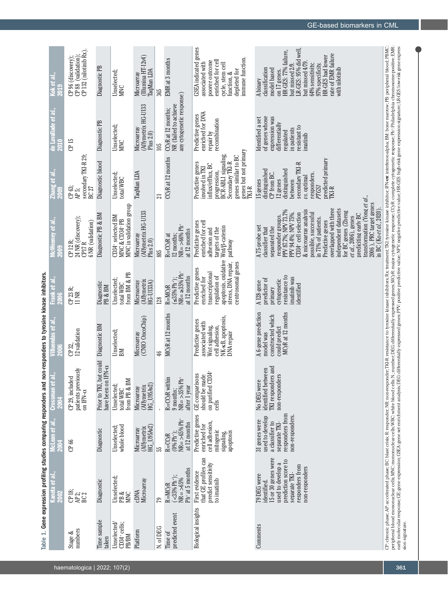|                                                                                                                  | Kok et al.,<br>2019<br>de Lavallade et al.,         | CP 132 (nilotinib Rx)<br>CP 96 (discovery);<br>CP 88 (validation);  | Diagnostic PB<br>Diagnostic PB                    | Unselected;<br><b>MINC</b>                                     | $(Ilumina HT-12v4)$<br>TaqMan LDA<br>Microarray<br>(Affymetrix HG-U133 | 365                    | EMR at 3 months<br>any cytogenetic response)<br>NR (failed to achieve<br>CCyR at 12 months; | GSEA indicated genes<br>immune function.<br>poorer outcome<br>enriched for cell<br>associated with<br>cycle, stem cell<br>depleted for<br>function, &<br>enriched for DNA<br>Predictive genes<br>recombination | LR-GES: 95% did well,<br>HR-GES: 77% failure,<br>rate of EMR failure<br>HR-GES had lower<br>but missed $479$ .<br>64% sensitivity;<br>but missed 2/9.<br>97% specificity.<br>with nilotinib<br>classification<br>model based<br>on 17 genes.<br>A binary<br>of genes whose<br>expression was<br>Identified a set                                                                                                                                         |  |
|------------------------------------------------------------------------------------------------------------------|-----------------------------------------------------|---------------------------------------------------------------------|---------------------------------------------------|----------------------------------------------------------------|------------------------------------------------------------------------|------------------------|---------------------------------------------------------------------------------------------|----------------------------------------------------------------------------------------------------------------------------------------------------------------------------------------------------------------|----------------------------------------------------------------------------------------------------------------------------------------------------------------------------------------------------------------------------------------------------------------------------------------------------------------------------------------------------------------------------------------------------------------------------------------------------------|--|
|                                                                                                                  | Zhang et al.,<br>2009                               | CP 15<br>secondary TKI-R 29,<br>ር <del>ኮ</del> 63;<br>Æ 5;<br>BC 27 | Diagnostic blood                                  | Unselected;<br>MNC<br>Unselected;<br>total WBC                 | Microarray<br>Plus 2.0)<br>TaqMan LDA                                  | 105<br>$\overline{21}$ | CCyR at 12 months                                                                           | repair by<br>genes but not primary<br>TKI-R<br>BCR-ABL1 signaling;<br>genes similar to BC<br>Secondary TKI-R<br>Predictive genes<br>influx/efflux, BC<br>involved in TKI<br>progression,                       | differentially<br>resistant to<br>in patients<br>regulated<br>imatinib<br>predicted primary<br>secondary TKI-R<br>distinguished<br>distinguished<br>CP from BC.<br>responders.<br>vs. optimal<br>12 genes<br>between<br>15 genes<br>PTGS1<br>$TKI-R$                                                                                                                                                                                                     |  |
|                                                                                                                  | McWeeney et al.,<br>2009                            | 24 NR (discovery);<br>6 NR (validation)<br>CP 12 R;<br>CPI7R        | Diagnostic PB & BM                                | MNC in validation group<br>CD34+ selected BM<br>MNC & CD34+ PB | (Affymetrix HG-U133<br>Microarray<br>Plus 2.0)                         | 885                    | $NR = >6696$ Ph <sup>+</sup><br>at 12 months<br>12 months;<br>R=CCyR at                     | enriched for cell<br>Predictive genes<br>Wnt/ <sup>8</sup> -catenin<br>targets of the<br>adhesion and<br>pathway                                                                                               | transformation (Yong et al.,<br>2006), PRC target genes<br>overlapped with three<br>in BC (Ko et al., 2020).<br>& microarray analysis<br>independent datasets<br>PPV 87.7%; NPV 73.7%<br>for BC genes (Zheng<br>PPV 94.4%; NPV 75%.<br>possible, successful<br>CD34+ cell selection<br>prediciting early BC<br>responder groups.<br>et al., 2006), genes<br>in 71% of patients.<br>Predictive genes<br>separated the<br>A75-probe set<br>classifier that |  |
| Table 1. Gene expression profiling studies comparing responders and non-responders to tyrosine kinase inhibitors | Frank et al.,<br>2006                               | $CP 23 R$<br>11 NR                                                  | Diagnostic<br>PB & BM                             | from BM & PB<br>Unselected;<br>total WBC                       | Affymetrix<br>Microarray<br>HG-U133A)                                  | 128                    | $MR = \ge 35\% Ph +$<br>at 12 months<br>$\leq 35\%$ Ph <sup>+</sup> );<br>$R = M CyR$       | apoptosis, oxidative<br>stress, DNA repair,<br>centrosomal genes<br>Predictive genes<br>transcriptional<br>enriched for<br>regulation of                                                                       | resistance to<br>imatinib was<br>predictor of<br>cytogenetic<br>A <sub>128-gene</sub><br>dentified<br>primary                                                                                                                                                                                                                                                                                                                                            |  |
|                                                                                                                  | das et al.,<br>lluen<br>2006                        | 12 validation<br>CP 32,                                             | Diagnostic BM                                     | Unselected;<br>BM                                              | (CNIO OncoChip)<br>Microarray                                          | 46                     | MC <sub>y</sub> R at 12 months                                                              | NK-KB, apoptosis,<br>Predictive genes<br>associated with<br>Wnt signaling,<br>cell adhesion,<br>DNA repair                                                                                                     | MCyR at 12 months<br>A 6-gene prediction<br>constructed which<br>could predict<br>model was                                                                                                                                                                                                                                                                                                                                                              |  |
|                                                                                                                  | Crossman et al.,                                    | patients previous<br>CP 29, included<br>on IFN-a                    | Prior to TKI, but could<br>ರ<br>have been on IFN- | from PB & BM<br>Unselected;<br>total WBC                       | $HG_$ [J95Av2]<br>(Affymetrix<br>Microarray                            |                        | R=CCyR within<br>$NR = > 35\% Ph$<br>after 1 year<br>9 months;                              | on purified CD34+<br><b>GE</b> comparisons<br>should be made<br>cells                                                                                                                                          | 몯<br>identified between<br>TKI responders an<br>non-responders<br>No DEG were                                                                                                                                                                                                                                                                                                                                                                            |  |
|                                                                                                                  | McLean e <i>t al.</i> ,<br>$\widetilde{\mathbf{5}}$ | CP 66                                                               | Diagnostic                                        | whole blood<br>Unselected;                                     | HG U95Av2<br>Affymetrix<br>Microarray                                  | ယ္တ                    | $NR = \frac{}{}$ >65% Ph <sup>+</sup><br>at 12 months<br>$(0% Ph^{+})$ ;<br>$R = C C y R$   | Predictive genes<br>cell adhesion,<br>enriched for<br>mitogenic<br>apoptosis<br>signaling,                                                                                                                     | responders from<br>non-responders.<br>used to develop<br>31 genes were<br>a classifier to<br>separate TKI-                                                                                                                                                                                                                                                                                                                                               |  |
|                                                                                                                  | Kaneta et al.,<br>ຮ                                 | CP 18;<br>CP 2;<br>BC 2                                             | Diagnostic                                        | Unselected;<br>PB &<br><b>MINC</b>                             | Microarray<br><b>CDNA</b>                                              | 79                     | $Ph+ at 5 months$<br>$(<35% Ph+)$ ;<br>$NR = > 65%$<br>R=MC <sub>K</sub> R                  | that GE profiles can<br>predict sensitivity<br>First evidence<br>to imatinib                                                                                                                                   | 15 or 30 genes were<br>prediction score to<br>used to develop a<br>responders from<br>non-responders<br>separate TKI-<br>79 DEG were<br>identified.                                                                                                                                                                                                                                                                                                      |  |
|                                                                                                                  |                                                     | numbers<br>Stage &                                                  | Time sample<br>taken                              | Unselected<br>$CD34$ cells;<br>PB/BM                           | Platform                                                               | N. of DEG              | predicted event<br>Time of                                                                  | <b>Biological insights</b>                                                                                                                                                                                     | Comments                                                                                                                                                                                                                                                                                                                                                                                                                                                 |  |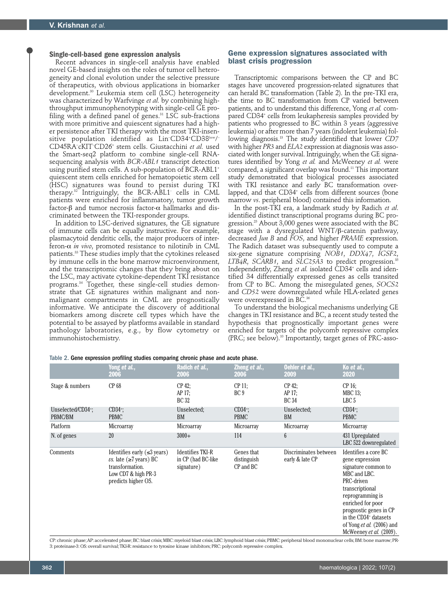# **Single-cell-based gene expression analysis**

Recent advances in single-cell analysis have enabled novel GE-based insights on the roles of tumor cell heterogeneity and clonal evolution under the selective pressure of therapeutics, with obvious applications in biomarker development.30 Leukemia stem cell (LSC) heterogeneity was characterized by Warfvinge *et al.* by combining highthroughput immunophenotyping with single-cell GE profiling with a defined panel of genes. $31$  LSC sub-fractions with more primitive and quiescent signatures had a higher persistence after TKI therapy with the most TKI-insensitive population identified as Lin<sup>-</sup>CD34+CD38<sup>low</sup>/<sup>-</sup> CD45RA– cKIT– CD26+ stem cells. Giustacchini *et al.* used the Smart-seq2 platform to combine single-cell RNAsequencing analysis with *BCR-ABL1* transcript detection using purified stem cells. A sub-population of BCR-ABL1<sup>+</sup> quiescent stem cells enriched for hematopoietic stem cell (HSC) signatures was found to persist during TKI therapy.32 Intriguingly, the BCR-ABL1- cells in CML patients were enriched for inflammatory, tumor growth factor- $\beta$  and tumor necrosis factor- $\alpha$  hallmarks and discriminated between the TKI-responder groups.

In addition to LSC-derived signatures, the GE signature of immune cells can be equally instructive. For example, plasmacytoid dendritic cells, the major producers of interferon- $\alpha$  *in vivo*, promoted resistance to nilotinib in CML patients.33 These studies imply that the cytokines released by immune cells in the bone marrow microenvironment, and the transcriptomic changes that they bring about on the LSC, may activate cytokine-dependent TKI resistance programs.34 Together, these single-cell studies demonstrate that GE signatures within malignant and nonmalignant compartments in CML are prognostically informative. We anticipate the discovery of additional biomarkers among discrete cell types which have the potential to be assayed by platforms available in standard pathology laboratories, e.g., by flow cytometry or immunohistochemistry.

# Gene expression signatures associated with blast crisis progression

Transcriptomic comparisons between the CP and BC stages have uncovered progression-related signatures that can herald BC transformation (Table 2). In the pre-TKI era, the time to BC transformation from CP varied between patients, and to understand this difference, Yong *et al.* compared CD34+ cells from leukapheresis samples provided by patients who progressed to BC within 3 years (aggressive leukemia) or after more than 7 years (indolent leukemia) following diagnosis.13 The study identified that lower *CD7* with higher *PR3* and *ELA2* expression at diagnosis was associated with longer survival. Intriguingly, when the GE signatures identified by Yong *et al.* and McWeeney *et al.* were compared, a significant overlap was found.<sup>11</sup> This important study demonstrated that biological processes associated with TKI resistance and early BC transformation overlapped, and that CD34+ cells from different sources (bone marrow *vs*. peripheral blood) contained this information.

In the post-TKI era, a landmark study by Radich *et al*. identified distinct transcriptional programs during BC progression.25 About 3,000 genes were associated with the BC stage with a dysregulated WNT/ $\beta$ -catenin pathway, decreased *Jun B* and *FOS*, and higher *PRAME* expression. The Radich dataset was subsequently used to compute a six-gene signature comprising *NOB1*, *DDX47*, *IGSF2*, *LTB4R*, *SCARB1*, and *SLC25A3* to predict progression.35 Independently, Zheng *et al.* isolated CD34+ cells and identified 34 differentially expressed genes as cells transited from CP to BC. Among the misregulated genes, *SOCS2* and *CD52* were downregulated while HLA-related genes were overexpressed in BC.<sup>36</sup>

To understand the biological mechanisms underlying GE changes in TKI resistance and BC, a recent study tested the hypothesis that prognostically important genes were enriched for targets of the polycomb repressive complex (PRC; see below).10 Importantly, target genes of PRC-asso-

|  |  | Table 2. Gene expression profiling studies comparing chronic phase and acute phase. |  |  |  |  |  |  |  |  |
|--|--|-------------------------------------------------------------------------------------|--|--|--|--|--|--|--|--|
|--|--|-------------------------------------------------------------------------------------|--|--|--|--|--|--|--|--|

|                                           | Yong et al.,<br>2006                                                                                                                               | Radich et al.,<br>2006                                       | Zheng et al.,<br><b>2006</b>           | Oehler et al.,<br><b>2009</b>            | Ko et al.,<br>2020                                                                                                                                                                                                                                                                     |
|-------------------------------------------|----------------------------------------------------------------------------------------------------------------------------------------------------|--------------------------------------------------------------|----------------------------------------|------------------------------------------|----------------------------------------------------------------------------------------------------------------------------------------------------------------------------------------------------------------------------------------------------------------------------------------|
| Stage & numbers                           | CP 68                                                                                                                                              | $CP$ 42;<br>AP 17;<br>BC 32                                  | $CP$ 11;<br>BC <sub>9</sub>            | $CP$ 42;<br>AP 17:<br><b>BC 34</b>       | $CP 16$ ;<br>$MBC$ 13;<br>LBC 5                                                                                                                                                                                                                                                        |
| Unselected/CD34 <sup>+</sup> ;<br>PBMC/BM | $CD34$ <sup>:</sup><br><b>PBMC</b>                                                                                                                 | Unselected;<br>BM                                            | $CD34$ <sup>:</sup> :<br><b>PBMC</b>   | Unselected;<br>BM                        | $CD34$ <sup>:</sup> :<br><b>PBMC</b>                                                                                                                                                                                                                                                   |
| Platform                                  | Microarray                                                                                                                                         | Microarray                                                   | Microarray                             | Microarray                               | Microarray                                                                                                                                                                                                                                                                             |
| N. of genes                               | 20                                                                                                                                                 | $3000+$                                                      | 114                                    | 6                                        | 431 Upregulated<br>LBC 522 downregulated                                                                                                                                                                                                                                               |
| Comments                                  | Identifies early $(\leq 3 \text{ years})$<br><i>vs.</i> late ( $\geq$ 7 years) BC<br>transformation.<br>Low CD7 & high PR-3<br>predicts higher OS. | <b>Identifies TKI-R</b><br>in CP (had BC-like)<br>signature) | Genes that<br>distinguish<br>CP and BC | Discriminates between<br>early & late CP | Identifies a core BC<br>gene expression<br>signature common to<br>MBC and LBC.<br>PRC-driven<br>transcriptional<br>reprogramming is<br>enriched for poor<br>prognostic genes in CP<br>in the CD34 <sup>+</sup> datasets<br>of Yong <i>et al.</i> (2006) and<br>McWeeney et al. (2009). |

CP: chronic phase; AP: accelerated phase; BC: blast crisis; MBC: myeloid blast crisis; LBC: lymphoid blast crisis; PBMC: peripheral blood mononuclear cells; BM: bone marrow; PR-3: proteinase-3: OS: overall survival; TKI-R: resistance to tyrosine kinase inhibitors; PRC: polycomb repressive complex.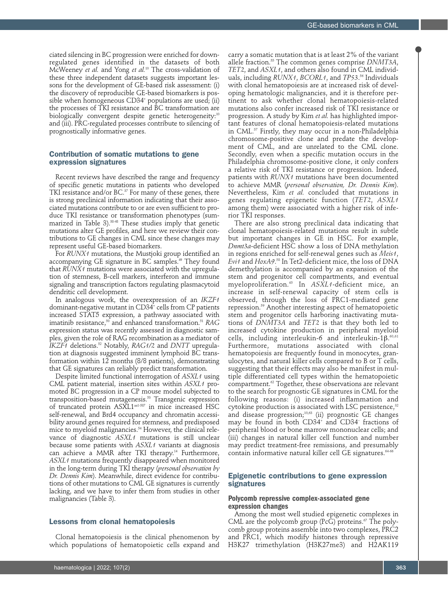ciated silencing in BC progression were enriched for downregulated genes identified in the datasets of both McWeeney *et al.* and Yong *et al.*10 The cross-validation of these three independent datasets suggests important lessons for the development of GE-based risk assessment: (i) the discovery of reproducible GE-based biomarkers is possible when homogeneous CD34+ populations are used; (ii) the processes of TKI resistance and BC transformation are biologically convergent despite genetic heterogeneity:<sup>10</sup> and (iii). PRC-regulated processes contribute to silencing of prognostically informative genes.

# Contribution of somatic mutations to gene expression signatures

Recent reviews have described the range and frequency of specific genetic mutations in patients who developed TKI resistance and/or BC.<sup>37</sup> For many of these genes, there is strong preclinical information indicating that their associated mutations contribute to or are even sufficient to produce TKI resistance or transformation phenotypes (summarized in Table 3).38-48 These studies imply that genetic mutations alter GE profiles, and here we review their contributions to GE changes in CML since these changes may represent useful GE-based biomarkers.

For *RUNX1* mutations, the Mustjoki group identified an accompanying GE signature in BC samples.<sup>49</sup> They found that *RUNX1* mutations were associated with the upregulation of stemness, B-cell markers, interferon and immune signaling and transcription factors regulating plasmacytoid dendritic cell development.

In analogous work, the overexpression of an *IKZF1* dominant-negative mutant in CD34+ cells from CP patients increased STAT5 expression, a pathway associated with imatinib resistance,50 and enhanced transformation.51 *RAG* expression status was recently assessed in diagnostic samples, given the role of RAG recombination as a mediator of *IKZF1* deletions.52 Notably, *RAG1/2* and *DNTT* upregulation at diagnosis suggested imminent lymphoid BC transformation within 12 months (8/8 patients), demonstrating that GE signatures can reliably predict transformation.

Despite limited functional interrogation of *ASXL1* using CML patient material, insertion sites within *ASXL1* promoted BC progression in a CP mouse model subjected to transposition-based mutagenesis.53 Transgenic expression of truncated protein ASXL1aa1-587 in mice increased HSC self-renewal, and Brd4 occupancy and chromatin accessibility around genes required for stemness, and predisposed mice to myeloid malignancies.54 However, the clinical relevance of diagnostic *ASXL1* mutations is still unclear because some patients with *ASXL1* variants at diagnosis can achieve a MMR after TKI therapy.<sup>14</sup> Furthermore, *ASXL1* mutations frequently disappeared when monitored in the long-term during TKI therapy (*personal observation by Dr. Dennis Kim*). Meanwhile, direct evidence for contributions of other mutations to CML GE signatures is currently lacking, and we have to infer them from studies in other malignancies (Table 3).

## Lessons from clonal hematopoiesis

Clonal hematopoiesis is the clinical phenomenon by which populations of hematopoietic cells expand and carry a somatic mutation that is at least 2% of the variant allele fraction.55 The common genes comprise *DNMT3A*, *TET2*, and *ASXL1*, and others also found in CML individuals, including *RUNX1*, *BCORL1*, and *TP53*. 56 Individuals with clonal hematopoiesis are at increased risk of developing hematologic malignancies, and it is therefore pertinent to ask whether clonal hematopoiesis-related mutations also confer increased risk of TKI resistance or progression. A study by Kim *et al.* has highlighted important features of clonal hematopoiesis-related mutations in CML.57 Firstly, they may occur in a non-Philadelphia chromosome-positive clone and predate the development of CML, and are unrelated to the CML clone. Secondly, even when a specific mutation occurs in the Philadelphia chromosome-positive clone, it only confers a relative risk of TKI resistance or progression. Indeed, patients with *RUNX1* mutations have been documented to achieve MMR (*personal observation, Dr. Dennis Kim*). Nevertheless, Kim *et al.* concluded that mutations in genes regulating epigenetic function (*TET2*, *ASXL1* among them) were associated with a higher risk of inferior TKI responses.

There are also strong preclinical data indicating that clonal hematopoiesis-related mutations result in subtle but important changes in GE in HSC. For example, *Dnmt3a*-deficient HSC show a loss of DNA methylation in regions enriched for self-renewal genes such as *Meis1*, *Evi1* and *HoxA9*. 58 In Tet2-deficient mice, the loss of DNA demethylation is accompanied by an expansion of the stem and progenitor cell compartments, and eventual myeloproliferation.45 In *ASXL1*-deficient mice, an increase in self-renewal capacity of stem cells is observed, through the loss of PRC1-mediated gene repression.59 Another interesting aspect of hematopoietic stem and progenitor cells harboring inactivating mutations of *DNMT3A* and *TET2* is that they both led to increased cytokine production in peripheral myeloid cells, including interleukin-6 and interleukin-1 $\beta.^{\scriptscriptstyle 60,61}$ Furthermore, mutations associated with clonal hematopoiesis are frequently found in monocytes, granulocytes, and natural killer cells compared to B or T cells, suggesting that their effects may also be manifest in multiple differentiated cell types within the hematopoietic compartment.<sup>62</sup> Together, these observations are relevant to the search for prognostic GE signatures in CML for the following reasons: (i) increased inflammation and cytokine production is associated with LSC persistence, $32$ and disease progression;<sup>10,63</sup> (ii) prognostic GE changes may be found in both CD34+ and CD34– fractions of peripheral blood or bone marrow mononuclear cells; and (iii) changes in natural killer cell function and number may predict treatment-free remissions, and presumably contain informative natural killer cell GE signatures.<sup>64-66</sup>

## Epigenetic contributions to gene expression signatures

## **Polycomb repressive complex-associated gene expression changes**

Among the most well studied epigenetic complexes in CML are the polycomb group ( $Pc\tilde{G}$ ) proteins.<sup>67</sup> The polycomb group proteins assemble into two complexes, PRC2 and PRC1, which modify histones through repressive H3K27 trimethylation (H3K27me3) and H2AK119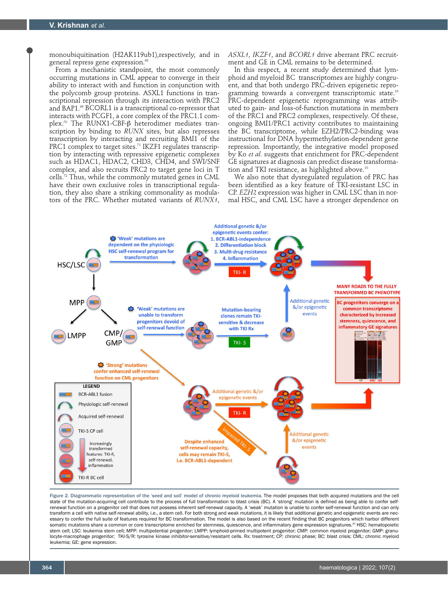monoubiquitination (H2AK119ub1),respectively, and in general repress gene expression.<sup>68</sup>

From a mechanistic standpoint, the most commonly occurring mutations in CML appear to converge in their ability to interact with and function in conjunction with the polycomb group proteins. ASXL1 functions in transcriptional repression through its interaction with PRC2 and BAP1.<sup>69</sup> BCORL1 is a transcriptional co-repressor that interacts with PCGF1, a core complex of the PRC1.1 complex.<sup>70</sup> The RUNX1-CBF- $\beta$  heterodimer mediates transcription by binding to *RUNX* sites, but also represses transcription by interacting and recruiting BMI1 of the PRC1 complex to target sites.<sup>71</sup> IKZF1 regulates transcription by interacting with repressive epigenetic complexes such as HDAC1, HDAC2, CHD3, CHD4, and SWI/SNF complex, and also recruits PRC2 to target gene loci in T cells.72 Thus, while the commonly mutated genes in CML have their own exclusive roles in transcriptional regulation, they also share a striking commonality as modulators of the PRC. Whether mutated variants of *RUNX1*, *ASXL1*, *IKZF1*, and *BCORL1* drive aberrant PRC recruitment and GE in CML remains to be determined.

In this respect, a recent study determined that lymphoid and myeloid BC transcriptomes are highly congruent, and that both undergo PRC-driven epigenetic reprogramming towards a convergent transcriptomic state.<sup>10</sup> PRC-dependent epigenetic reprogramming was attributed to gain- and loss-of-function mutations in members of the PRC1 and PRC2 complexes, respectively. Of these, ongoing BMI1/PRC1 activity contributes to maintaining the BC transcriptome, while EZH2/PRC2-binding was instructional for DNA hypermethylation-dependent gene repression. Importantly, the integrative model proposed by Ko *et al.* suggests that enrichment for PRC-dependent GE signatures at diagnosis can predict disease transformation and TKI resistance, as highlighted above.<sup>10</sup>

We also note that dysregulated regulation of PRC has been identified as a key feature of TKI-resistant LSC in CP. *EZH2* expression was higher in CML LSC than in normal HSC, and CML LSC have a stronger dependence on



Figure 2. Diagrammatic representation of the 'seed and soil' model of chronic myeloid leukemia. The model proposes that both acquired mutations and the cell state of the mutation-acquiring cell contribute to the process of full transformation to blast crisis (BC). A 'strong' mutation is defined as being able to confer selfrenewal function on a progenitor cell that does not possess inherent self-renewal capacity. A 'weak' mutation is unable to confer self-renewal function and can only transform a cell with native self-renewal ability, i.e., a stem cell. For both strong and weak mutations, it is likely that additional genetic and epigenetic events are necessary to confer the full suite of features required for BC transformation. The model is also based on the recent finding that BC progenitors which harbor different somatic mutations share a common or core transcriptome enriched for stemness, quiescence, and inflammatory gene expression signatures.<sup>20</sup> HSC: hematopoietic stem cell; LSC: leukemia stem cell; MPP: multipotential progenitor; LMPP: lymphoid-primed multipotent progenitor; CMP: common myeloid progenitor; GMP: granulocyte-macrophage progenitor; TKI-S/R: tyrosine kinase inhibitor-sensitive/resistant cells. Rx: treatment; CP: chronic phase; BC: blast crisis; CML: chronic myeloid leukemia; GE: gene expression.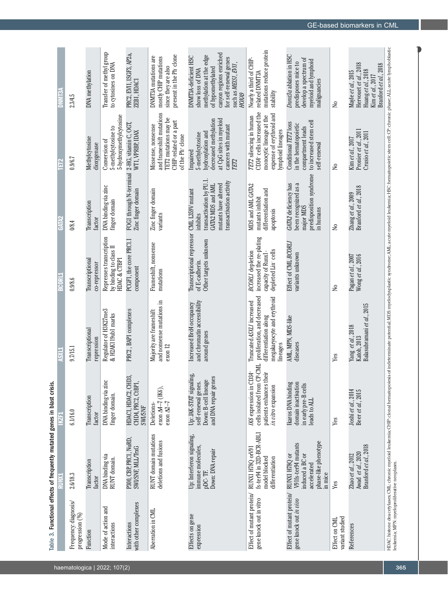|                                                      | Table 3. Functional effects of frequently mutated genes in blast crisis.                                  |                                                                                                       |                                                                                                                                                                                                                               |                                                                                                             |                                                                                                                                  |                                                                                                                                                  |                                                                                                                                                                                |
|------------------------------------------------------|-----------------------------------------------------------------------------------------------------------|-------------------------------------------------------------------------------------------------------|-------------------------------------------------------------------------------------------------------------------------------------------------------------------------------------------------------------------------------|-------------------------------------------------------------------------------------------------------------|----------------------------------------------------------------------------------------------------------------------------------|--------------------------------------------------------------------------------------------------------------------------------------------------|--------------------------------------------------------------------------------------------------------------------------------------------------------------------------------|
|                                                      |                                                                                                           | i K                                                                                                   |                                                                                                                                                                                                                               | <b>BCORL1</b>                                                                                               |                                                                                                                                  | Ê                                                                                                                                                | <b>SLINILS</b>                                                                                                                                                                 |
| Frequency: diagnosis/<br>progression (%)             | 2.6/18.3                                                                                                  | 6.1/16.0                                                                                              | 9.7/15.1                                                                                                                                                                                                                      | 0.9/8.6                                                                                                     | 0/8.4                                                                                                                            | 0.9/6.7                                                                                                                                          | 2.3/4.5                                                                                                                                                                        |
| Function                                             | Transcription<br>factor                                                                                   | Transcription<br>factor                                                                               | Transcriptional<br>repression                                                                                                                                                                                                 | Transcriptional<br>co-repressor                                                                             | Transcription<br>factor                                                                                                          | Methylcytosine<br>dioxygenase                                                                                                                    | DNA methylation                                                                                                                                                                |
| Mode of action and<br>interactions                   | DNA binding via<br>RUNT domain.                                                                           | DNA binding via zinc<br>finger domain.                                                                | Regulator of H3K27me3<br>& H2AK119ub1 marks                                                                                                                                                                                   | Represses transcription<br>by binding to class II<br>HDAC & CTBP1                                           | DNA binding via zinc<br>finger domain                                                                                            | 5-hydroxymethylcytosine<br>5-methylcytosine to<br>Conversion of                                                                                  | Transfer of methyl group<br>to cytosines on DNA                                                                                                                                |
| with other complexes<br>Interactions                 | P300, CBP, PRC1, NuRD,<br>SWI/SNF, MLL/TrxG                                                               | HDAC1, HDAC2, CHD3,<br>CHD4, PRC2, CtBP1,<br><b>SWISNF</b>                                            | PRC2, BAP1 complexes                                                                                                                                                                                                          | PCGF1, the core PRC1.1<br>component                                                                         | FOG1 through N-terminal<br>Zinc finger domain                                                                                    | 2-HG, vitamin C, OGT,<br>WTI, VPRBP, IDAX                                                                                                        | PRC2, EVI1, ISGF3, AP2a,<br>ZEB1, HDAC1                                                                                                                                        |
| Aberration in CML                                    | RUNT domain mutations<br>deletions and fusions                                                            | exon $\Delta 4-7$ (IK6),<br>exon $\Delta2-7$<br>Deletions-                                            | and nonsense mutations in<br>Majority are frameshift<br>exon 12                                                                                                                                                               | Frameshift, nonsense<br>mutations                                                                           | Zinc finger domain<br>variants                                                                                                   | and frameshift mutations<br>TET2 mutations may be<br>CHIP-related or a part<br>Missense, nonsense<br>of the Ph <sup>+</sup> clone                | present in the Ph clone<br>DNMT3A mutations are<br>mostly CHIP mutations<br>since they are also                                                                                |
| Effects on gene<br>expression                        | Up: Interferon signaling,<br>immune molecules,<br>Down: DNA repair<br>pDC-TF.                             | Up: JAK-STAT signaling,<br>and DNA repair genes<br>Down: B-cell lineage<br>self-renewal genes.        | and chromatin accessibility<br>Increased Brd4 occupancy<br>around genes                                                                                                                                                       | Transcriptional repressor<br>Other targets unknown<br>of E-cadherin.                                        | transactivation by PU.1<br>transactivation activity<br>mutants have altered<br>GATA2 MDS and AML<br>CML L359V mutant<br>inhibits | at CpG sites in myeloid<br>decreased methylation<br>cancers with mutant<br>hydroxylation and<br>5-methylcytosine<br>Impaired<br>TET <sub>2</sub> | canyon regions enriched<br>methylation at the edge<br>DNMT3A-deficient HSC<br>for self-renewal genes<br>such as MEISI, EVII,<br>of hypomethylated<br>show loss of DNA<br>НОХА9 |
| Effect of mutant protein/<br>gene knock out in vitro | fs-ter94 in 32D-BCR-ABLI<br>RUNXI H78Q orV91<br>model blocked<br>differentiation                          | cells isolated from CP-CML<br>IK6 expression in CD34<br>patients enhances their<br>in vitro expansion | proliferation, and decreased<br>megakaryocyte and erythroid<br>Truncated ASXLI increased<br>differentiation along<br>lineages                                                                                                 | increased the re-plating<br>depleted Lin <sup>-cells</sup><br><b>BCORLI</b> depletion<br>capacity of Runx1- | MDS and AML GATA2<br>differentiation and<br>mutants inhibit<br>apoptosis                                                         | CD34+ cells increased the<br>expense of erythroid and<br>monocytic lineage at the<br>TET2 silencing in human<br>lymphoid lineages                | mutations reduce protein<br>Nearly a third of CHIP-<br>related DNMT3A<br>stability                                                                                             |
| Effect of mutant protein/<br>gene knock out in vivo  | phase-like phenotype<br>V91fs-ter94 mutants<br>induced a BC or<br>RUNXI H78Q or<br>accelerated<br>in mice | Ikaros DNA binding<br>domain inactivation<br>in early pre-B cells<br>eads to ALL                      | AML, MPN, MDS-like<br>diseases                                                                                                                                                                                                | Effect of CML BCORL<br>wariants unknown                                                                     | predisposition syndrome<br>been recognized as a<br>GATA2 deficiency has<br>major MDS<br>in humans                                | to increased stem cell<br>Conditional TET2 loss<br>in the hematopoietic<br>compartment leads<br>self-renewal                                     | Dramt3a ablation in HSC<br>develop a spectrum of<br>myeloid and lymphoid<br>predisposes mice to<br>malignancies                                                                |
| variant studied<br>Effect on CML                     | Yes                                                                                                       | Yes                                                                                                   | Yes                                                                                                                                                                                                                           | $\geq$                                                                                                      | $\geq$                                                                                                                           | $\geq$                                                                                                                                           | $\geq$                                                                                                                                                                         |
| References                                           | Branford et al., 2018<br>Awad et al., 2020<br>Zhao et al., 2012                                           | Joshi et al., 2014<br>Beer et al., 2015                                                               | Balasubramani et al., 2015<br>Yang $\,et\,al.\,2018\,$ Katoh, $2013$                                                                                                                                                          | Pagan et al., 2007<br>Wong et al., 2016                                                                     | Branford et al., 2018<br>Zhang et al., 2009                                                                                      | Pronier et al., 2011<br>Crusio et al., 2011<br>Kim et al., 2017                                                                                  | Hervouet et al., 2018<br>Branford et al., 2018<br>Huang et al., 2018<br>Mayle et al., 2015<br>Kim et al., 2017                                                                 |
|                                                      |                                                                                                           |                                                                                                       | HDAC:histone deacetylases; CML: chronic myeloid leukemia; CHIP: clonal hematopoiesis of indeterminate potential; MDS: myelodysplastic syndrome; AML: acute myeloid leukemia; HSC: hematopoietic stem cell; CP: chronic phase; |                                                                                                             |                                                                                                                                  |                                                                                                                                                  |                                                                                                                                                                                |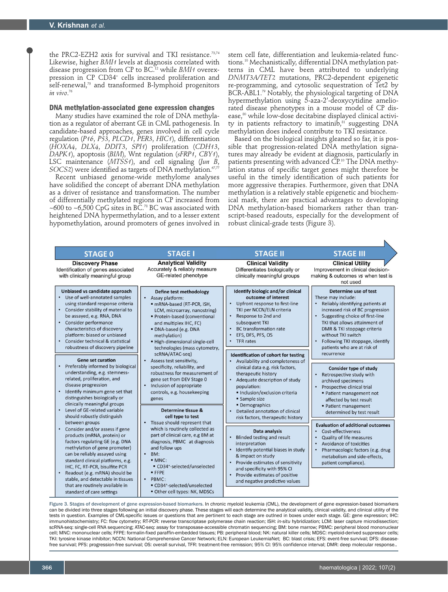the PRC2-EZH2 axis for survival and TKI resistance.73,74 Likewise, higher *BMI1* levels at diagnosis correlated with disease progression from CP to BC.12 while *BMI1* overexpression in CP CD34+ cells increased proliferation and self-renewal,<sup>75</sup> and transformed B-lymphoid progenitors *in vivo*. 76

## **DNA methylation-associated gene expression changes**

Many studies have examined the role of DNA methylation as a regulator of aberrant GE in CML pathogenesis. In candidate-based approaches, genes involved in cell cycle regulation (*P16*, *P53*, *PLCD1*, *PER3*, *HIC1*), differentiation (*HOXA4*, *DLX4*, *DDIT3*, *SPI1*) proliferation (*CDH13*, *DAPK1*), apoptosis (*BIM*), Wnt regulation (*sFRP1*, *CBY1*), LSC maintenance (*MTSS1*), and cell signaling (*Jun B*, *SOCS2*) were identified as targets of DNA methylation. $\frac{67}{77}$ 

Recent unbiased genome-wide methylome analyses have solidified the concept of aberrant DNA methylation as a driver of resistance and transformation. The number of differentially methylated regions in CP increased from ~600 to ~6,500 CpG sites in BC.<sup>78</sup> BC was associated with heightened DNA hypermethylation, and to a lesser extent hypomethylation, around promoters of genes involved in

stem cell fate, differentiation and leukemia-related functions.10 Mechanistically, differential DNA methylation patterns in CML have been attributed to underlying *DNMT3A/TET2* mutations, PRC2-dependent epigenetic re-programming, and cytosolic sequestration of Tet2 by BCR-ABL1.<sup>79</sup> Notably, the physiological targeting of DNA hypermethylation using 5-aza-2'-deoxycytidine ameliorated disease phenotypes in a mouse model of CP disease,<sup>80</sup> while low-dose decitabine displayed clinical activity in patients refractory to imatinib,<sup>81</sup> suggesting DNA methylation does indeed contribute to TKI resistance.

Based on the biological insights gleaned so far, it is possible that progression-related DNA methylation signatures may already be evident at diagnosis, particularly in patients presenting with advanced CP.<sup>10</sup> The DNA methylation status of specific target genes might therefore be useful in the timely identification of such patients for more aggressive therapies. Furthermore, given that DNA methylation is a relatively stable epigenetic and biochemical mark, there are practical advantages to developing DNA methylation-based biomarkers rather than transcript-based readouts, especially for the development of robust clinical-grade tests (Figure 3).

N

| <b>STAGE 0</b>                                                                                                                                                                                                                                                                                                                                                                                                                                                                                                                                                                                                                                                        | <b>STAGE I</b>                                                                                                                                                                                                                                                                                                                                                                                                                                                                                                                                                                                                                                                                                                                                                                                                                                                                                                                 | <b>STAGE II</b>                                                                                                                                                                                                                                                                                                                                                                                                                                                                                                                                                                                   | <b>STAGE III</b>                                                                                                                                                                                                                                                                                                                                                                                                                                                                                                                                           |
|-----------------------------------------------------------------------------------------------------------------------------------------------------------------------------------------------------------------------------------------------------------------------------------------------------------------------------------------------------------------------------------------------------------------------------------------------------------------------------------------------------------------------------------------------------------------------------------------------------------------------------------------------------------------------|--------------------------------------------------------------------------------------------------------------------------------------------------------------------------------------------------------------------------------------------------------------------------------------------------------------------------------------------------------------------------------------------------------------------------------------------------------------------------------------------------------------------------------------------------------------------------------------------------------------------------------------------------------------------------------------------------------------------------------------------------------------------------------------------------------------------------------------------------------------------------------------------------------------------------------|---------------------------------------------------------------------------------------------------------------------------------------------------------------------------------------------------------------------------------------------------------------------------------------------------------------------------------------------------------------------------------------------------------------------------------------------------------------------------------------------------------------------------------------------------------------------------------------------------|------------------------------------------------------------------------------------------------------------------------------------------------------------------------------------------------------------------------------------------------------------------------------------------------------------------------------------------------------------------------------------------------------------------------------------------------------------------------------------------------------------------------------------------------------------|
| <b>Discovery Phase</b><br>Identification of genes associated<br>with clinically meaningful group                                                                                                                                                                                                                                                                                                                                                                                                                                                                                                                                                                      | <b>Analytical Validity</b><br>Accurately & reliably measure<br>GE-related phenotype                                                                                                                                                                                                                                                                                                                                                                                                                                                                                                                                                                                                                                                                                                                                                                                                                                            | <b>Clinical Validity</b><br>Differentiates biologically or<br>clinically meaningful groups                                                                                                                                                                                                                                                                                                                                                                                                                                                                                                        | <b>Clinical Utility</b><br>Improvement in clinical decision-<br>making & outcomes vs when test is<br>not used                                                                                                                                                                                                                                                                                                                                                                                                                                              |
| Unbiased vs candidate approach<br>Use of well-annotated samples<br>using standard response criteria<br>Consider stability of material to<br>be assayed, e.g. RNA, DNA<br>Consider performance<br>$\bullet$<br>characteristics of discovery<br>platform: biased or unbiased<br>Consider technical & statistical<br>robustness of discovery pipeline<br>Gene set curation<br>Preferably informed by biological<br>understanding, e.g. stemness-<br>related, proliferation, and<br>disease progression<br>Identify minimum gene set that<br>distinguishes biologically or<br>clinically meaningful groups<br>Level of GE-related variable<br>should robustly distinguish | Define test methodology<br>Assay platform:<br>$\bullet$<br>· mRNA-based (RT-PCR, ISH,<br>LCM, microarray, nanostring)<br>Protein-based (conventional<br>and multiplex IHC, FC)<br>· DNA-based (e.g. DNA<br>methylation)<br>High-dimensional single-cell<br>technologies (mass cytometry,<br>scRNA/ATAC-seq)<br>Assess test sensitivity,<br>$\bullet$<br>specificity, reliability, and<br>robustness for measurement of<br>gene set from DEV Stage 0<br>Inclusion of appropriate<br>$\bullet$<br>controls, e.g. housekeeping<br>genes<br>Determine tissue &<br>cell type to test<br>Tissue should represent that<br>$\bullet$<br>which is routinely collected as<br>part of clinical care, e.g BM at<br>diagnosis, PBMC at diagnosis<br>and follow ups<br>$\bullet$<br>BM:<br>$-MNC:$<br>• CD34+-selected/unselected<br>· FFPE<br>$\bullet$<br>PBMC:<br>• CD34 <sup>+</sup> -selected/unselected<br>Other cell types: NK, MDSCs | Identify biologic and/or clinical<br>outcome of interest<br>Upfront response to first-line<br>$\bullet$<br>TKI per NCCN/ELN criteria<br>Response to 2nd and<br>$\bullet$<br>subsequent TKI<br><b>BC</b> transformation rate<br>EFS, DFS, PFS, OS<br>TFR rates<br>Identification of cohort for testing<br>Availability and completeness of<br>clinical data e.g. risk factors,<br>therapeutic history<br>Adequate description of study<br>population:<br>· Inclusion/exclusion criteria<br>• Sample size<br>• Demographics<br>Detailed annotation of clinical<br>risk factors, therapeutic history | Determine use of test<br>These may include:<br>Reliably identifying patients at<br>increased risk of BC progression<br>Suggesting choice of first-line<br>TKI that allows attainment of<br>DMR & TKI stoppage criteria<br>without TKI switch<br>Following TKI stoppage, identify<br>patients who are at risk of<br>recurrence<br><b>Consider type of study</b><br>Retrospective study with<br>archived specimens<br>Prospective clinical trial<br>• Patient management not<br>affected by test result<br>• Patient management<br>determined by test result |
| between groups<br>Consider and/or assess if gene<br>products (mRNA, protein) or<br>factors regulating GE (e.g. DNA<br>methylation of gene promoter)<br>can be reliably assayed using<br>standard clinical platforms, e.g.<br>IHC, FC, RT-PCR, bisulfite PCR<br>Readout (e.g. mRNA) should be<br>stable, and detectable in tissues<br>that are routinely available in<br>standard of care settings                                                                                                                                                                                                                                                                     |                                                                                                                                                                                                                                                                                                                                                                                                                                                                                                                                                                                                                                                                                                                                                                                                                                                                                                                                | Data analysis<br><b>Blinded testing and result</b><br>interpretation<br>Identify potential biases in study<br>& impact on study<br>Provide estimates of sensitivity<br>and specificity with 95% CI<br>Provide estimates of positive<br>$\bullet$<br>and negative prodictive values                                                                                                                                                                                                                                                                                                                | <b>Evaluation of additional outcomes</b><br>Cost-effectiveness<br><b>Quality of life measures</b><br>Avoidance of toxicities<br>Pharmacologic factors (e.g. drug<br>metabolism and side-effects,<br>patient compliance).                                                                                                                                                                                                                                                                                                                                   |

Figure 3. Stages of development of gene expression-based biomarkers. In chronic myeloid leukemia (CML), the development of gene expression-based biomarkers can be divided into three stages following an initial discovery phase. These stages will each determine the analytical validity, clinical validity, and clinical utility of the tests in question. Examples of CML-specific issues or questions that are pertinent to each stage are outlned in boxes under each stage. GE: gene expression; IHC: immunohistochemistry; FC: flow cytometry; RT-PCR: reverse transcriptase polymerase chain reaction; ISH: *in-situ* hybridization; LCM: laser capture microdissection; scRNA-seq: single-cell RNA sequencing; ATAC-seq: assay for transposase-accessible chromatin sequencing; BM: bone marrow; PBMC: peripheral blood mononuclear cell; MNC: mononuclear cells; FFPE: formalin-fixed paraffin-embedded tissues; PB: peripheral blood; NK: natural killer cells; MDSC: myeloid-derived suppressor cells; TKI: tyrosine kinase inhibitor; NCCN: National Comprehensive Cancer Network; ELN: European LeukemiaNet; BC: blast crisis; EFS: event-free survival; DFS: diseasefree survival; PFS: progression-free survival; OS: overall survival, TFR: treatment-free remission; 95% CI: 95% confidence interval; DMR: deep molecular response..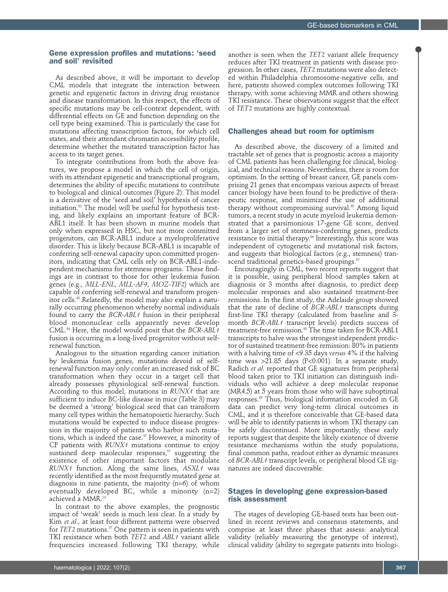## Gene expression profiles and mutations: 'seed and soil' revisited

As described above, it will be important to develop CML models that integrate the interaction between genetic and epigenetic factors in driving drug resistance and disease transformation. In this respect, the effects of specific mutations may be cell-context dependent, with differential effects on GE and function depending on the cell type being examined. This is particularly the case for mutations affecting transcription factors, for which cell states, and their attendant chromatin accessibility profile, determine whether the mutated transcription factor has access to its target genes.

To integrate contributions from both the above features, we propose a model in which the cell of origin, with its attendant epigenetic and transcriptional program, determines the ability of specific mutations to contribute to biological and clinical outcomes (Figure 2). This model is a derivative of the 'seed and soil' hypothesis of cancer initiation.82 The model will be useful for hypothesis testing, and likely explains an important feature of BCR-ABL1 itself. It has been shown in murine models that only when expressed in HSC, but not more committed progenitors, can BCR-ABL1 induce a myeloproliferative disorder. This is likely because BCR-ABL1 is incapable of conferring self-renewal capacity upon committed progenitors, indicating that CML cells rely on BCR-ABL1-independent mechanisms for stemness programs. These findings are in contrast to those for other leukemia fusion genes (e.g., *MLL-ENL*, *MLL-AF9*, *MOZ-TIF2*) which are capable of conferring self-renewal and transform progenitor cells.<sup>83</sup> Relatedly, the model may also explain a naturally occurring phenomenon whereby normal individuals found to carry the *BCR-ABL1* fusion in their peripheral blood mononuclear cells apparently never develop CML.84 Here, the model would posit that the *BCR-ABL1* fusion is occurring in a long-lived progenitor without selfrenewal function.

Analogous to the situation regarding cancer initiation by leukemia fusion genes, mutations devoid of selfrenewal function may only confer an increased risk of BC transformation when they occur in a target cell that already possesses physiological self-renewal function. According to this model, mutations in *RUNX1* that are sufficient to induce BC-like disease in mice (Table 3) may be deemed a 'strong' biological seed that can transform many cell types within the hematopoietic hierarchy. Such mutations would be expected to induce disease progression in the majority of patients who harbor such mutations, which is indeed the case. $37$  However, a minority of CP patients with *RUNX1* mutations continue to enjoy sustained deep maolecular responses, $57$  suggesting the existence of other important factors that modulate *RUNX1* function. Along the same lines, *ASXL1* was recently identified as the most frequently mutated gene at diagnosis in nine patients, the majority (n=6) of whom eventually developed BC, while a minority (n=2) achieved a MMR.14

In contrast to the above examples, the prognostic impact of 'weak' seeds is much less clear. In a study by Kim *et al*., at least four different patterns were observed for *TET2* mutations.<sup>57</sup> One pattern is seen in patients with TKI resistance when both *TET2* and *ABL1* variant allele frequencies increased following TKI therapy, while

another is seen when the *TET2* variant allele frequency reduces after TKI treatment in patients with disease progression. In other cases, *TET2* mutations were also detected within Philadelphia chromosome-negative cells, and here, patients showed complex outcomes following TKI therapy, with some achieving MMR and others showing TKI resistance. These observations suggest that the effect of *TET2* mutations are highly contextual.

## Challenges ahead but room for optimism

As described above, the discovery of a limited and tractable set of genes that is prognostic across a majority of CML patients has been challenging for clinical, biological, and technical reasons. Nevertheless, there is room for optimism. In the setting of breast cancer, GE panels comprising 21 genes that encompass various aspects of breast cancer biology have been found to be predictive of therapeutic response, and minimized the use of additional therapy without compromising survival.<sup>85</sup> Among liquid tumors, a recent study in acute myeloid leukemia demonstrated that a parsimonious 17-gene GE score, derived from a larger set of stemness-conferring genes, predicts resistance to initial therapy.<sup>86</sup> Interestingly, this score was independent of cytogenetic and mutational risk factors, and suggests that biological factors (e.g., stemness) transcend traditional genetics-based groupings.<sup>87</sup>

Encouragingly in CML, two recent reports suggest that it is possible, using peripheral blood samples taken at diagnosis or 3 months after diagnosis, to predict deep molecular responses and also sustained treatment-free remissions. In the first study, the Adelaide group showed that the rate of decline of *BCR-ABL1* transcripts during first-line TKI therapy (calculated from baseline and 3 month *BCR-ABL1* transcript levels) predicts success of treatment-free remission.<sup>88</sup> The time taken for BCR-ABL1 transcripts to halve was the strongest independent predictor of sustained treatment-free remission: 80% in patients with a halving time of <9.35 days *versus* 4% if the halving time was  $>21.85$  days (P<0.001). In a separate study, Radich *et al.* reported that GE signatures from peripheral blood taken prior to TKI initiation can distinguish individuals who will achieve a deep molecular response (MR4.5) at 5 years from those who will have suboptimal responses.89 Thus, biological information encoded in GE data can predict very long-term clinical outcomes in CML, and it is therefore conceivable that GE-based data will be able to identify patients in whom TKI therapy can be safely discontinued. More importantly, these early reports suggest that despite the likely existence of diverse resistance mechanisms within the study populations, final common paths, readout either as dynamic measures of *BCR-ABL1* transcript levels, or peripheral blood GE signatures are indeed discoverable.

## Stages in developing gene expression-based risk assessment

The stages of developing GE-based tests has been outlined in recent reviews and consensus statements, and comprise at least three phases that assess: analytical validity (reliably measuring the genotype of interest), clinical validity (ability to segregate patients into biologi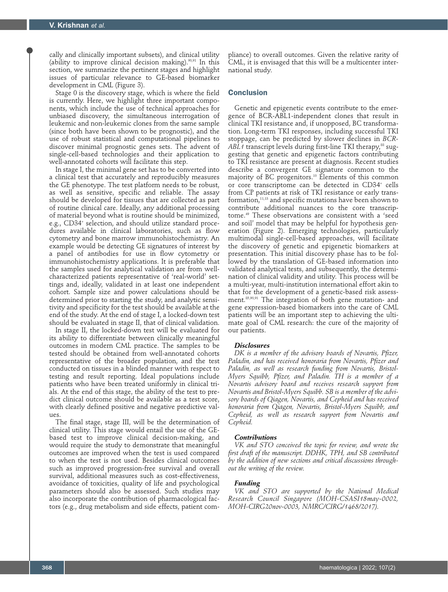cally and clinically important subsets), and clinical utility (ability to improve clinical decision making).90,91 In this section, we summarize the pertinent stages and highlight issues of particular relevance to GE-based biomarker development in CML (Figure 3).

Stage 0 is the discovery stage, which is where the field is currently. Here, we highlight three important components, which include the use of technical approaches for unbiased discovery, the simultaneous interrogation of leukemic and non-leukemic clones from the same sample (since both have been shown to be prognostic), and the use of robust statistical and computational pipelines to discover minimal prognostic genes sets. The advent of single-cell-based technologies and their application to well-annotated cohorts will facilitate this step.

In stage I, the minimal gene set has to be converted into a clinical test that accurately and reproducibly measures the GE phenotype. The test platform needs to be robust, as well as sensitive, specific and reliable. The assay should be developed for tissues that are collected as part of routine clinical care. Ideally, any additional processing of material beyond what is routine should be minimized, e.g., CD34+ selection, and should utilize standard procedures available in clinical laboratories, such as flow cytometry and bone marrow immunohistochemistry. An example would be detecting GE signatures of interest by a panel of antibodies for use in flow cytometry or immunohistochemistry applications. It is preferable that the samples used for analytical validation are from wellcharacterized patients representative of 'real-world' settings and, ideally, validated in at least one independent cohort. Sample size and power calculations should be determined prior to starting the study, and analytic sensitivity and specificity for the test should be available at the end of the study. At the end of stage I, a locked-down test should be evaluated in stage II, that of clinical validation.

In stage II, the locked-down test will be evaluated for its ability to differentiate between clinically meaningful outcomes in modern CML practice. The samples to be tested should be obtained from well-annotated cohorts representative of the broader population, and the test conducted on tissues in a blinded manner with respect to testing and result reporting. Ideal populations include patients who have been treated uniformly in clinical trials. At the end of this stage, the ability of the test to predict clinical outcome should be available as a test score, with clearly defined positive and negative predictive values.

The final stage, stage III, will be the determination of clinical utility. This stage would entail the use of the GEbased test to improve clinical decision-making, and would require the study to demonstrate that meaningful outcomes are improved when the test is used compared to when the test is not used. Besides clinical outcomes such as improved progression-free survival and overall survival, additional measures such as cost-effectiveness, avoidance of toxicities, quality of life and psychological parameters should also be assessed. Such studies may also incorporate the contribution of pharmacological factors (e.g., drug metabolism and side effects, patient com-

pliance) to overall outcomes. Given the relative rarity of CML, it is envisaged that this will be a multicenter international study.

## **Conclusion**

Genetic and epigenetic events contribute to the emergence of BCR-ABL1-independent clones that result in clinical TKI resistance and, if unopposed, BC transformation. Long-term TKI responses, including successful TKI stoppage, can be predicted by slower declines in *BCR-*ABL1 transcript levels during first-line TKI therapy,<sup>88</sup> suggesting that genetic and epigenetic factors contributing to TKI resistance are present at diagnosis. Recent studies describe a convergent GE signature common to the majority of BC progenitors.10 Elements of this common or core transcriptome can be detected in CD34+ cells from CP patients at risk of TKI resistance or early transformation,11,13 and specific mutations have been shown to contribute additional nuances to the core transcriptome.49 These observations are consistent with a 'seed and soil' model that may be helpful for hypothesis generation (Figure 2). Emerging technologies, particularly multimodal single-cell-based approaches, will facilitate the discovery of genetic and epigenetic biomarkers at presentation. This initial discovery phase has to be followed by the translation of GE-based information into validated analytical tests, and subsequently, the determination of clinical validity and utility. This process will be a multi-year, multi-institution international effort akin to that for the development of a genetic-based risk assessment. $85,90,91$  The integration of both gene mutation- and gene expression-based biomarkers into the care of CML patients will be an important step to achieving the ultimate goal of CML research: the cure of the majority of our patients.

#### *Disclosures*

*DK is a member of the advisory boards of Novartis, Pfizer, Paladin, and has received honoraria from Novartis, Pfizer and Paladin, as well as research funding from Novartis, Bristol-Myers Squibb, Pfizer, and Paladin. TH is a member of a Novartis advisory board and receives research support from Novartis and Bristol-Myers Squibb. SB is a member of the advisory boards of Qiagen, Novartis, and Cepheid and has received honoraria from Qiagen, Novartis, Bristol-Myers Squibb, and Cepheid, as well as research support from Novartis and Cepheid.*

#### *Contributions*

*VK and STO conceived the topic for review, and wrote the first draft of the manuscript. DDHK, TPH, and SB contributed by the addition of new sections and critical discussions throughout the writing of the review.* 

## *Funding*

*VK and STO are supported by the National Medical Research Council Singapore (MOH-CSASI18may-0002, MOH-CIRG20nov-0003, NMRC/CIRG/1468/2017).*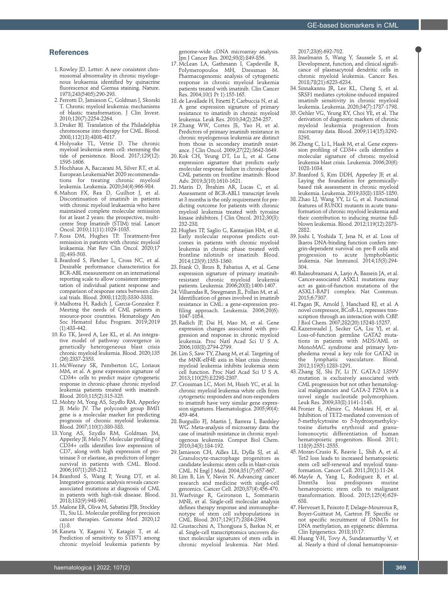### References

- 1. Rowley JD. Letter: A new consistent chromosomal abnormality in chronic myelogenous leukaemia identified by quinacrine fluorescence and Giemsa staining. Nature. 1973;243(5405):290-293.
- 2. Perrotti D, Jamieson C, Goldman J, Skorski T. Chronic myeloid leukemia: mechanisms of blastic transformation. J Clin Invest. 2010;120(7):2254-2264.
- 3. Druker BJ. Translation of the Philadelphia chromosome into therapy for CML. Blood. 2008;112(13):4808-4817.
- 4. Holyoake TL, Vetrie D. The chronic myeloid leukemia stem cell: stemming the tide of persistence. Blood. 2017;129(12): 1595-1606.
- 5. Hochhaus A, Baccarani M, Silver RT, et al. European LeukemiaNet 2020 recommendations for treating chronic myeloid leukemia. Leukemia. 2020;34(4):966-984.
- 6. Mahon FX, Rea D, Guilhot J, et al. Discontinuation of imatinib in patients with chronic myeloid leukaemia who have maintained complete molecular remission for at least 2 years: the prospective, multicentre Stop Imatinib (STIM) trial. Lancet Oncol. 2010;11(11):1029-1035.
- 7. Ross DM, Hughes TP. Treatment-free remission in patients with chronic myeloid leukaemia. Nat Rev Clin Oncol. 2020;17 (8):493-503.
- 8. Branford S, Fletcher L, Cross NC, et al. Desirable performance characteristics for BCR-ABL measurement on an international reporting scale to allow consistent interpretation of individual patient response and comparison of response rates between clinical trials. Blood. 2008;112(8):3330-3338.
- 9. Malhotra H, Radich J, Garcia-Gonzalez P. Meeting the needs of CML patients in resource-poor countries. Hematology Am Soc Hematol Educ Program. 2019;2019 (1):433-442.
- 10. Ko TK, Javed A, Lee KL, et al. An integrative model of pathway convergence in genetically heterogeneous blast crisis chronic myeloid leukemia. Blood. 2020;135 (26):2337-2353.
- 11. McWeeney SK, Pemberton LC, Loriaux MM, et al. A gene expression signature of CD34+ cells to predict major cytogenetic response in chronic-phase chronic myeloid leukemia patients treated with imatinib. Blood. 2010;115(2):315-325.
- 12. Mohty M, Yong AS, Szydlo RM, Apperley JF, Melo JV. The polycomb group BMI1 gene is a molecular marker for predicting prognosis of chronic myeloid leukemia. Blood. 2007;110(1):380-383.
- 13. Yong AS, Szydlo RM, Goldman JM, Apperley JF, Melo JV. Molecular profiling of CD34+ cells identifies low expression of CD7, along with high expression of proteinase 3 or elastase, as predictors of longer survival in patients with CML. Blood. 2006;107(1):205-212.
- 14. Branford S, Wang P, Yeung DT, et al. Integrative genomic analysis reveals cancerassociated mutations at diagnosis of CML in patients with high-risk disease. Blood. 2018;132(9):948-961.
- 15. Malone ER, Oliva M, Sabatini PJB, Stockley TL, Siu LL. Molecular profiling for precision cancer therapies. Genome Med. 2020;12  $(1):8.$
- 16. Kaneta Y, Kagami Y, Katagiri T, et al. Prediction of sensitivity to STI571 among chronic myeloid leukemia patients by

genome-wide cDNA microarray analysis. Jpn J Cancer Res. 2002;93(8):849-856.

- 17. McLean LA, Gathmann I, Capdeville R, Polymeropoulos MH, Dressman M. Pharmacogenomic analysis of cytogenetic response in chronic myeloid leukemia patients treated with imatinib. Clin Cancer Res. 2004;10(1 Pt 1):155-165.
- 18. de Lavallade H, Finetti P, Carbuccia N, et al. A gene expression signature of primary resistance to imatinib in chronic myeloid leukemia. Leuk Res. 2010;34(2):254-257.
- 19. Zhang WW, Cortes JE, Yao H, et al. Predictors of primary imatinib resistance in chronic myelogenous leukemia are distinct from those in secondary imatinib resistance. J Clin Oncol. 2009;27(22):3642-3649.
- 20. Kok CH, Yeung DT, Lu L, et al. Gene expression signature that predicts early molecular response failure in chronic-phase CML patients on frontline imatinib. Blood Adv. 2019;3(10):1610-1621.
- 21. Marin D, Ibrahim AR, Lucas C, et al. Assessment of BCR-ABL1 transcript levels at 3 months is the only requirement for predicting outcome for patients with chronic myeloid leukemia treated with tyrosine kinase inhibitors. J Clin Oncol. 2012;30(3): 232-238.
- 22. Hughes TP, Saglio G, Kantarjian HM, et al. Early molecular response predicts outcomes in patients with chronic myeloid leukemia in chronic phase treated with frontline nilotinib or imatinib. Blood. 2014;123(9):1353-1360.
- 23. Frank O, Brors B, Fabarius A, et al. Gene expression signature of primary imatinibresistant chronic myeloid leukemia patients. Leukemia. 2006;20(8):1400-1407.
- 24. Villuendas R, Steegmann JL, Pollan M, et al. Identification of genes involved in imatinib resistance in CML: a gene-expression profiling approach. Leukemia.  $2006;20(6)$ : 1047-1054.
- 25. Radich JP, Dai H, Mao M, et al. Gene expression changes associated with progression and response in chronic myeloid leukemia. Proc Natl Acad Sci U S A. 2006;103(8):2794-2799.
- 26. Lim S, Saw TY, Zhang M, et al. Targeting of the MNK-eIF4E axis in blast crisis chronic myeloid leukemia inhibits leukemia stem cell function. Proc Natl Acad Sci U S A. 2013;110(25):E2298-2307.
- 27. Crossman LC, Mori M, Hsieh YC, et al. In chronic myeloid leukemia white cells from cytogenetic responders and non-responders to imatinib have very similar gene expression signatures. Haematologica. 2005;90(4): 459-464.
- 28. Burguillo FJ, Martin J, Barrera I, Bardsley WG. Meta-analysis of microarray data: the case of imatinib resistance in chronic myelogenous leukemia. Comput Biol Chem. 2010;34(3):184-192.
- 29. Jamieson CH, Ailles LE, Dylla SJ, et al. Granulocyte-macrophage progenitors as candidate leukemic stem cells in blast-crisis CML. N Engl J Med. 2004;351(7):657-667.
- 30. Lim B, Lin Y, Navin N. Advancing cancer research and medicine with single-cell genomics. Cancer Cell. 2020;37(4):456-470.
- 31. Warfvinge R, Geironson L, Sommarin MNE, et al. Single-cell molecular analysis defines therapy response and immunophenotype of stem cell subpopulations in CML. Blood. 2017;129(17):2384-2394.
- 32. Giustacchini A, Thongjuea S, Barkas N, et al. Single-cell transcriptomics uncovers distinct molecular signatures of stem cells in chronic myeloid leukemia. Nat Med.

2017;23(6):692-702.

- 33. Inselmann S, Wang Y, Saussele S, et al. Development, function, and clinical significance of plasmacytoid dendritic cells in chronic myeloid leukemia. Cancer Res. 2018;78(21):6223-6234.
- 34. Sinnakannu JR, Lee KL, Cheng S, et al. SRSF1 mediates cytokine-induced impaired imatinib sensitivity in chronic myeloid leukemia. Leukemia. 2020;34(7):1787-1798.
- 35. Oehler VG, Yeung KY, Choi YE, et al. The derivation of diagnostic markers of chronic myeloid leukemia progression from microarray data. Blood. 2009;114(15):3292- 3298.
- 36. Zheng C, Li L, Haak M, et al. Gene expression profiling of CD34+ cells identifies a molecular signature of chronic myeloid leukemia blast crisis. Leukemia. 2006;20(6): 1028-1034.
- 37. Branford S, Kim DDH, Apperley JF, et al. Laying the foundation for genomicallybased risk assessment in chronic myeloid leukemia. Leukemia. 2019;33(8):1835-1850.
- 38. Zhao LJ, Wang YY, Li G, et al. Functional features of RUNX1 mutants in acute transformation of chronic myeloid leukemia and their contribution to inducing murine fullblown leukemia. Blood. 2012;119(12):2873- 2882.
- 39. Joshi I, Yoshida T, Jena N, et al. Loss of Ikaros DNA-binding function confers integrin-dependent survival on pre-B cells and<br>progression to acute lymphoblastic  $\overline{p}$  progression to acute leukemia. Nat Immunol. 2014;15(3):294- 304.
- 40. Balasubramani A, Larjo A, Bassein JA, et al. Cancer-associated ASXL1 mutations may act as gain-of-function mutations of the ASXL1-BAP1 complex. Nat Commun. 2015;6:7307.
- 41. Pagan JK, Arnold J, Hanchard KJ, et al. A novel corepressor, BCoR-L1, represses transcription through an interaction with CtBP. J Biol Chem. 2007;282(20):15248-15257.
- 42. Kazenwadel J, Secker GA, Liu YJ, et al. Loss-of-function germline GATA2 mutations in patients with MDS/AML or MonoMAC syndrome and primary lymphedema reveal a key role for GATA2 in<br>the lymphatic vasculature. Blood. vasculature. Blood. 2012;119(5):1283-1291.
- 43. Zhang SJ, Shi JY, Li JY. GATA-2 L359V mutation is exclusively associated with CML progression but not other hematological malignancies and GATA-2 P250A is a novel single nucleotide polymorphism. Leuk Res. 2009;33(8):1141-1143.
- 44. Pronier E, Almire C, Mokrani H, et al. Inhibition of TET2-mediated conversion of 5-methylcytosine to 5-hydroxymethylcytosine disturbs erythroid and granulomonocytic differentiation of human hematopoietic progenitors. Blood. 2011; 118(9):2551-2555.
- 45. Moran-Crusio K, Reavie L, Shih A, et al. Tet2 loss leads to increased hematopoietic stem cell self-renewal and myeloid transformation. Cancer Cell. 2011;20(1):11-24.
- 46. Mayle A, Yang L, Rodriguez B, et al. Dnmt3a loss predisposes murine hematopoietic stem cells to malignant transformation. Blood. 2015;125(4):629- 638.
- 47. Hervouet E, Peixoto P, Delage-Mourroux R, Boyer-Guittaut M, Cartron PF. Specific or not specific recruitment of DNMTs for DNA methylation, an epigenetic dilemma. Clin Epigenetics. 2018;10:17.
- 48. Huang Y-H, Tovy A, Sundaramurthy V, et al. Nearly a third of clonal hematopoiesis-